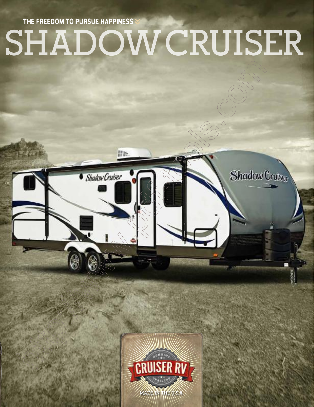

# SHADOW CRUISER

Shadow Cruiser

**Illite** 

**Shadow Cruiser** 

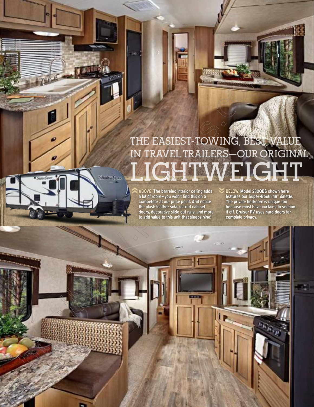## **the easiest-towing, best value in travel trailers—our original LIGHT**

teleci

ABOVE: The barreled interior ceiling adds a lot of room—you won't find this on a competitor at our price point. And notice the plush leather sofa, glazed cabinet doors, decorative slide out rails, and more to add value to this unit that sleeps nine! ‹‹

Shadow Garen

BELOW: Model 280QBS shown here features our Super-Booth 48" dinette. The private bedroom is unique too because most have curtains to section it off. Cruiser RV uses hard doors for complete privacy. ‹‹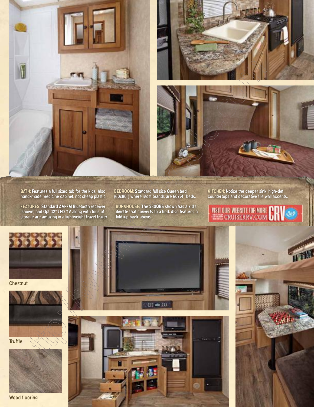





BATH: Features a full sized tub for the kids. Also hand-made medicine cabinet, not cheap plastic.

FEATURES: Standard AM-FM Bluetooth receiver (shown) and Opt 32" LED TV along with tons of storage are amazing in a lightweight travel trailer. BEDROOM: Standard full size Queen bed (60x80") where most brands are 60x74" beds.

BUNKHOUSE: The 280QBS shown has a kid's dinette that converts to a bed. Also features a fold-up bunk above.

KITCHEN: Notice the deeper sink, high-def countertops and decorative tile wall accents.

**WISHT OUR WEBSITE TOR MORE CRU** 



**Chestnut** 





Wood flooring